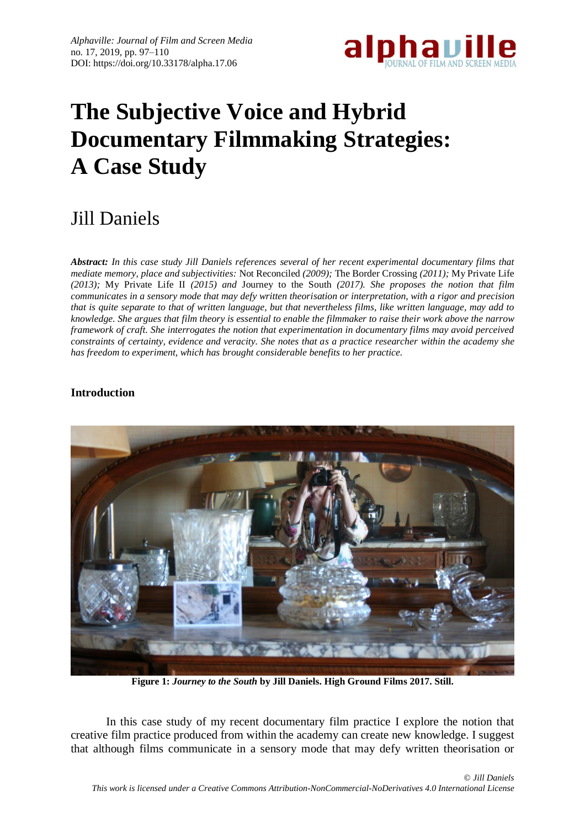

# **The Subjective Voice and Hybrid Documentary Filmmaking Strategies: A Case Study**

# Jill Daniels

*Abstract: In this case study Jill Daniels references several of her recent experimental documentary films that mediate memory, place and subjectivities:* Not Reconciled *(2009);* The Border Crossing *(2011);* My Private Life *(2013);* My Private Life II *(2015) and* Journey to the South *(2017). She proposes the notion that film communicates in a sensory mode that may defy written theorisation or interpretation, with a rigor and precision that is quite separate to that of written language, but that nevertheless films, like written language, may add to knowledge. She argues that film theory is essential to enable the filmmaker to raise their work above the narrow framework of craft. She interrogates the notion that experimentation in documentary films may avoid perceived constraints of certainty, evidence and veracity. She notes that as a practice researcher within the academy she has freedom to experiment, which has brought considerable benefits to her practice.* 

## **Introduction**



**Figure 1:** *Journey to the South* **by Jill Daniels. High Ground Films 2017. Still.**

In this case study of my recent documentary film practice I explore the notion that creative film practice produced from within the academy can create new knowledge. I suggest that although films communicate in a sensory mode that may defy written theorisation or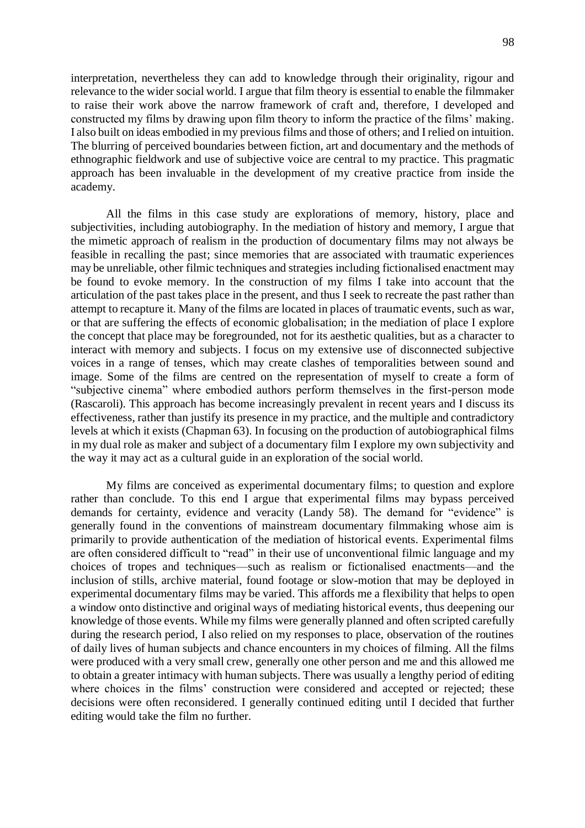interpretation, nevertheless they can add to knowledge through their originality, rigour and relevance to the wider social world. I argue that film theory is essential to enable the filmmaker to raise their work above the narrow framework of craft and, therefore, I developed and constructed my films by drawing upon film theory to inform the practice of the films' making. I also built on ideas embodied in my previous films and those of others; and I relied on intuition. The blurring of perceived boundaries between fiction, art and documentary and the methods of ethnographic fieldwork and use of subjective voice are central to my practice. This pragmatic approach has been invaluable in the development of my creative practice from inside the academy.

All the films in this case study are explorations of memory, history, place and subjectivities, including autobiography. In the mediation of history and memory, I argue that the mimetic approach of realism in the production of documentary films may not always be feasible in recalling the past; since memories that are associated with traumatic experiences may be unreliable, other filmic techniques and strategies including fictionalised enactment may be found to evoke memory. In the construction of my films I take into account that the articulation of the past takes place in the present, and thus I seek to recreate the past rather than attempt to recapture it. Many of the films are located in places of traumatic events, such as war, or that are suffering the effects of economic globalisation; in the mediation of place I explore the concept that place may be foregrounded, not for its aesthetic qualities, but as a character to interact with memory and subjects. I focus on my extensive use of disconnected subjective voices in a range of tenses, which may create clashes of temporalities between sound and image. Some of the films are centred on the representation of myself to create a form of "subjective cinema" where embodied authors perform themselves in the first-person mode (Rascaroli). This approach has become increasingly prevalent in recent years and I discuss its effectiveness, rather than justify its presence in my practice, and the multiple and contradictory levels at which it exists (Chapman 63). In focusing on the production of autobiographical films in my dual role as maker and subject of a documentary film I explore my own subjectivity and the way it may act as a cultural guide in an exploration of the social world.

My films are conceived as experimental documentary films; to question and explore rather than conclude. To this end I argue that experimental films may bypass perceived demands for certainty, evidence and veracity (Landy 58). The demand for "evidence" is generally found in the conventions of mainstream documentary filmmaking whose aim is primarily to provide authentication of the mediation of historical events. Experimental films are often considered difficult to "read" in their use of unconventional filmic language and my choices of tropes and techniques—such as realism or fictionalised enactments—and the inclusion of stills, archive material, found footage or slow-motion that may be deployed in experimental documentary films may be varied. This affords me a flexibility that helps to open a window onto distinctive and original ways of mediating historical events, thus deepening our knowledge of those events. While my films were generally planned and often scripted carefully during the research period, I also relied on my responses to place, observation of the routines of daily lives of human subjects and chance encounters in my choices of filming. All the films were produced with a very small crew, generally one other person and me and this allowed me to obtain a greater intimacy with human subjects. There was usually a lengthy period of editing where choices in the films' construction were considered and accepted or rejected; these decisions were often reconsidered. I generally continued editing until I decided that further editing would take the film no further.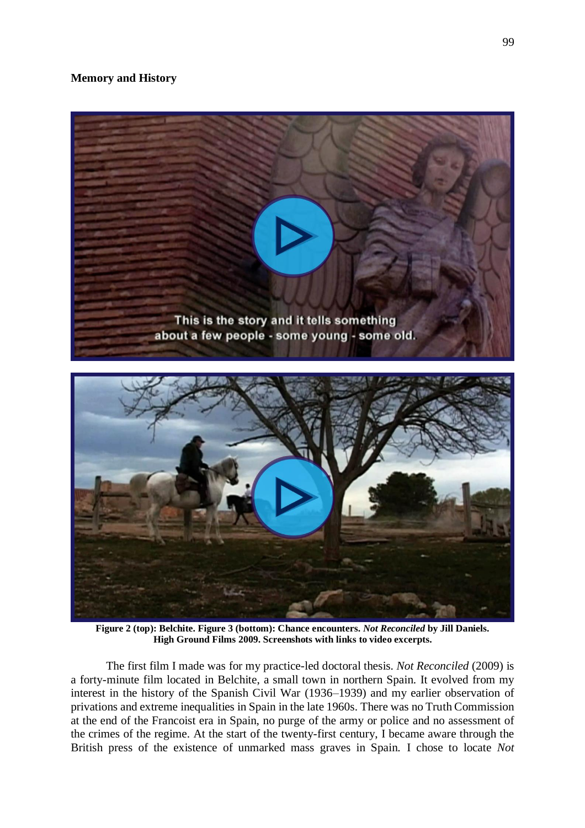## **Memory and History**



**Figure 2 (top): Belchite. Figure 3 (bottom): Chance encounters.** *Not Reconciled* **by Jill Daniels. High Ground Films 2009. Screenshots with links to video excerpts.**

The first film I made was for my practice-led doctoral thesis. *Not Reconciled* (2009) is a forty-minute film located in Belchite, a small town in northern Spain. It evolved from my interest in the history of the Spanish Civil War (1936–1939) and my earlier observation of privations and extreme inequalities in Spain in the late 1960s. There was no Truth Commission at the end of the Francoist era in Spain, no purge of the army or police and no assessment of the crimes of the regime. At the start of the twenty-first century, I became aware through the British press of the existence of unmarked mass graves in Spain. I chose to locate *Not*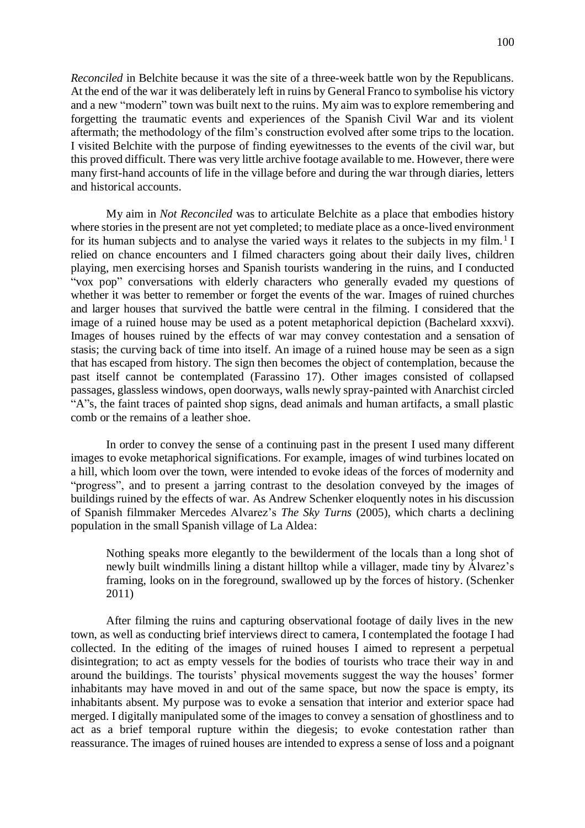*Reconciled* in Belchite because it was the site of a three-week battle won by the Republicans. At the end of the war it was deliberately left in ruins by General Franco to symbolise his victory and a new "modern" town was built next to the ruins. My aim was to explore remembering and forgetting the traumatic events and experiences of the Spanish Civil War and its violent aftermath; the methodology of the film's construction evolved after some trips to the location. I visited Belchite with the purpose of finding eyewitnesses to the events of the civil war, but this proved difficult. There was very little archive footage available to me. However, there were many first-hand accounts of life in the village before and during the war through diaries, letters and historical accounts.

My aim in *Not Reconciled* was to articulate Belchite as a place that embodies history where stories in the present are not yet completed; to mediate place as a once-lived environment for its human subjects and to analyse the varied ways it relates to the subjects in my film.<sup>1</sup> I relied on chance encounters and I filmed characters going about their daily lives, children playing, men exercising horses and Spanish tourists wandering in the ruins, and I conducted "vox pop" conversations with elderly characters who generally evaded my questions of whether it was better to remember or forget the events of the war. Images of ruined churches and larger houses that survived the battle were central in the filming. I considered that the image of a ruined house may be used as a potent metaphorical depiction (Bachelard xxxvi). Images of houses ruined by the effects of war may convey contestation and a sensation of stasis; the curving back of time into itself. An image of a ruined house may be seen as a sign that has escaped from history. The sign then becomes the object of contemplation, because the past itself cannot be contemplated (Farassino 17). Other images consisted of collapsed passages, glassless windows, open doorways, walls newly spray-painted with Anarchist circled "A"s, the faint traces of painted shop signs, dead animals and human artifacts, a small plastic comb or the remains of a leather shoe.

In order to convey the sense of a continuing past in the present I used many different images to evoke metaphorical significations. For example, images of wind turbines located on a hill, which loom over the town, were intended to evoke ideas of the forces of modernity and "progress", and to present a jarring contrast to the desolation conveyed by the images of buildings ruined by the effects of war. As Andrew Schenker eloquently notes in his discussion of Spanish filmmaker Mercedes Alvarez's *The Sky Turns* (2005), which charts a declining population in the small Spanish village of La Aldea:

Nothing speaks more elegantly to the bewilderment of the locals than a long shot of newly built windmills lining a distant hilltop while a villager, made tiny by Álvarez's framing, looks on in the foreground, swallowed up by the forces of history. (Schenker 2011)

After filming the ruins and capturing observational footage of daily lives in the new town, as well as conducting brief interviews direct to camera, I contemplated the footage I had collected. In the editing of the images of ruined houses I aimed to represent a perpetual disintegration; to act as empty vessels for the bodies of tourists who trace their way in and around the buildings. The tourists' physical movements suggest the way the houses' former inhabitants may have moved in and out of the same space, but now the space is empty, its inhabitants absent. My purpose was to evoke a sensation that interior and exterior space had merged. I digitally manipulated some of the images to convey a sensation of ghostliness and to act as a brief temporal rupture within the diegesis; to evoke contestation rather than reassurance. The images of ruined houses are intended to express a sense of loss and a poignant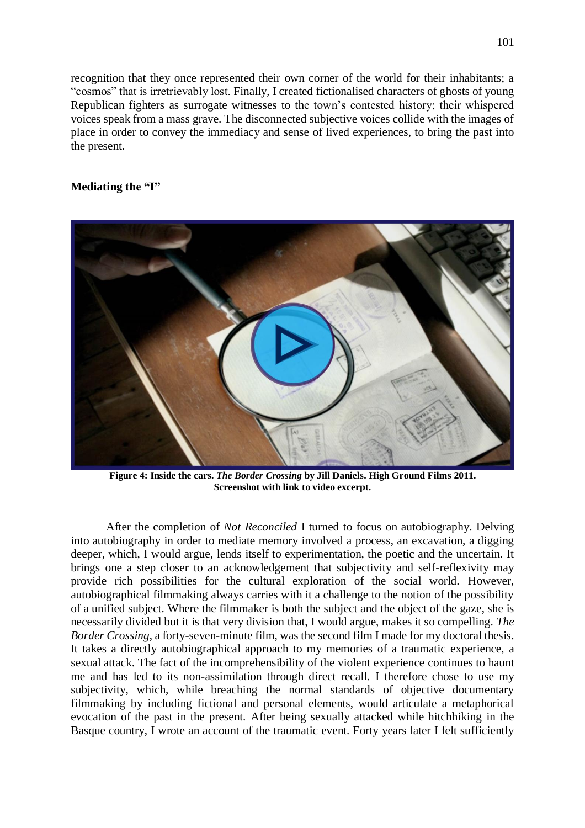recognition that they once represented their own corner of the world for their inhabitants; a "cosmos" that is irretrievably lost. Finally, I created fictionalised characters of ghosts of young Republican fighters as surrogate witnesses to the town's contested history; their whispered voices speak from a mass grave. The disconnected subjective voices collide with the images of place in order to convey the immediacy and sense of lived experiences, to bring the past into the present.

#### **Mediating the "I"**



**Figure 4: Inside the cars.** *The Border Crossing* **by Jill Daniels. High Ground Films 2011. Screenshot with link to video excerpt.**

After the completion of *Not Reconciled* I turned to focus on autobiography. Delving into autobiography in order to mediate memory involved a process, an excavation, a digging deeper, which, I would argue, lends itself to experimentation, the poetic and the uncertain. It brings one a step closer to an acknowledgement that subjectivity and self-reflexivity may provide rich possibilities for the cultural exploration of the social world. However, autobiographical filmmaking always carries with it a challenge to the notion of the possibility of a unified subject. Where the filmmaker is both the subject and the object of the gaze, she is necessarily divided but it is that very division that, I would argue, makes it so compelling. *The Border Crossing*, a forty-seven-minute film, was the second film I made for my doctoral thesis. It takes a directly autobiographical approach to my memories of a traumatic experience, a sexual attack. The fact of the incomprehensibility of the violent experience continues to haunt me and has led to its non-assimilation through direct recall. I therefore chose to use my subjectivity, which, while breaching the normal standards of objective documentary filmmaking by including fictional and personal elements, would articulate a metaphorical evocation of the past in the present. After being sexually attacked while hitchhiking in the Basque country, I wrote an account of the traumatic event. Forty years later I felt sufficiently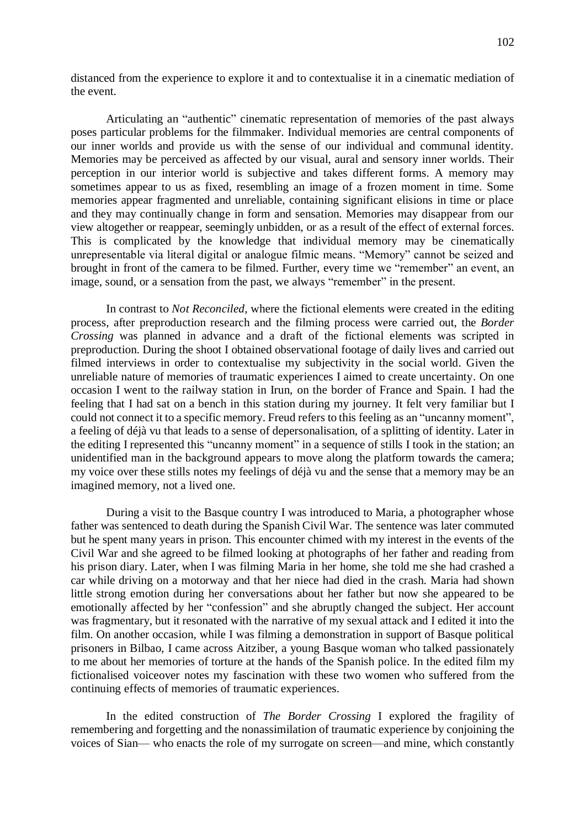distanced from the experience to explore it and to contextualise it in a cinematic mediation of the event.

Articulating an "authentic" cinematic representation of memories of the past always poses particular problems for the filmmaker. Individual memories are central components of our inner worlds and provide us with the sense of our individual and communal identity. Memories may be perceived as affected by our visual, aural and sensory inner worlds. Their perception in our interior world is subjective and takes different forms. A memory may sometimes appear to us as fixed, resembling an image of a frozen moment in time. Some memories appear fragmented and unreliable, containing significant elisions in time or place and they may continually change in form and sensation. Memories may disappear from our view altogether or reappear, seemingly unbidden, or as a result of the effect of external forces. This is complicated by the knowledge that individual memory may be cinematically unrepresentable via literal digital or analogue filmic means. "Memory" cannot be seized and brought in front of the camera to be filmed. Further, every time we "remember" an event, an image, sound, or a sensation from the past, we always "remember" in the present.

In contrast to *Not Reconciled*, where the fictional elements were created in the editing process, after preproduction research and the filming process were carried out, the *Border Crossing* was planned in advance and a draft of the fictional elements was scripted in preproduction. During the shoot I obtained observational footage of daily lives and carried out filmed interviews in order to contextualise my subjectivity in the social world. Given the unreliable nature of memories of traumatic experiences I aimed to create uncertainty. On one occasion I went to the railway station in Irun, on the border of France and Spain. I had the feeling that I had sat on a bench in this station during my journey. It felt very familiar but I could not connect it to a specific memory. Freud refers to this feeling as an "uncanny moment", a feeling of déjà vu that leads to a sense of depersonalisation, of a splitting of identity. Later in the editing I represented this "uncanny moment" in a sequence of stills I took in the station; an unidentified man in the background appears to move along the platform towards the camera; my voice over these stills notes my feelings of déjà vu and the sense that a memory may be an imagined memory, not a lived one.

During a visit to the Basque country I was introduced to Maria, a photographer whose father was sentenced to death during the Spanish Civil War. The sentence was later commuted but he spent many years in prison. This encounter chimed with my interest in the events of the Civil War and she agreed to be filmed looking at photographs of her father and reading from his prison diary. Later, when I was filming Maria in her home, she told me she had crashed a car while driving on a motorway and that her niece had died in the crash. Maria had shown little strong emotion during her conversations about her father but now she appeared to be emotionally affected by her "confession" and she abruptly changed the subject. Her account was fragmentary, but it resonated with the narrative of my sexual attack and I edited it into the film. On another occasion, while I was filming a demonstration in support of Basque political prisoners in Bilbao, I came across Aitziber, a young Basque woman who talked passionately to me about her memories of torture at the hands of the Spanish police. In the edited film my fictionalised voiceover notes my fascination with these two women who suffered from the continuing effects of memories of traumatic experiences.

In the edited construction of *The Border Crossing* I explored the fragility of remembering and forgetting and the nonassimilation of traumatic experience by conjoining the voices of Sian— who enacts the role of my surrogate on screen—and mine, which constantly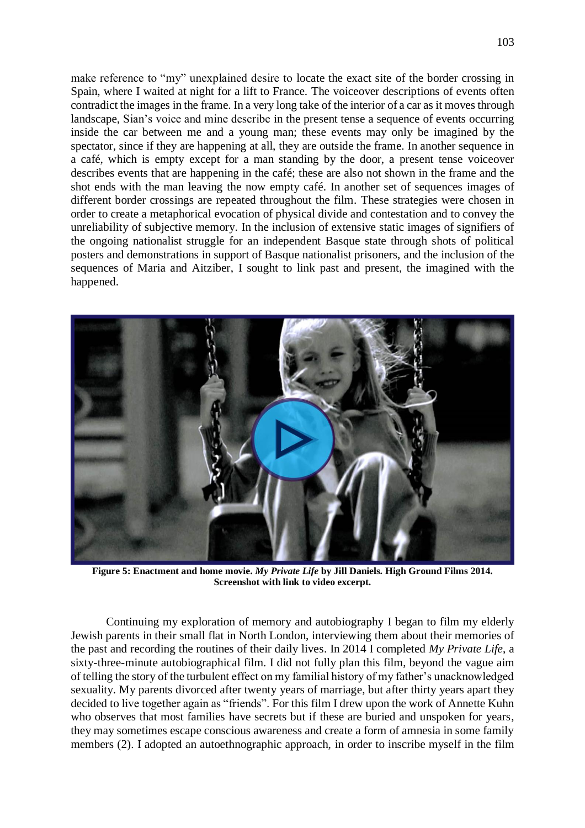make reference to "my" unexplained desire to locate the exact site of the border crossing in Spain, where I waited at night for a lift to France. The voiceover descriptions of events often contradict the images in the frame. In a very long take of the interior of a car as it moves through landscape, Sian's voice and mine describe in the present tense a sequence of events occurring inside the car between me and a young man; these events may only be imagined by the spectator, since if they are happening at all, they are outside the frame. In another sequence in a café, which is empty except for a man standing by the door, a present tense voiceover describes events that are happening in the café; these are also not shown in the frame and the shot ends with the man leaving the now empty café. In another set of sequences images of different border crossings are repeated throughout the film. These strategies were chosen in order to create a metaphorical evocation of physical divide and contestation and to convey the unreliability of subjective memory. In the inclusion of extensive static images of signifiers of the ongoing nationalist struggle for an independent Basque state through shots of political posters and demonstrations in support of Basque nationalist prisoners, and the inclusion of the sequences of Maria and Aitziber, I sought to link past and present, the imagined with the happened.



**Figure 5: Enactment and home movie.** *My Private Life* **by Jill Daniels***.* **High Ground Films 2014. Screenshot with link to video excerpt.**

Continuing my exploration of memory and autobiography I began to film my elderly Jewish parents in their small flat in North London, interviewing them about their memories of the past and recording the routines of their daily lives. In 2014 I completed *My Private Life*, a sixty-three-minute autobiographical film. I did not fully plan this film, beyond the vague aim of telling the story of the turbulent effect on my familial history of my father's unacknowledged sexuality. My parents divorced after twenty years of marriage, but after thirty years apart they decided to live together again as "friends". For this film I drew upon the work of Annette Kuhn who observes that most families have secrets but if these are buried and unspoken for years, they may sometimes escape conscious awareness and create a form of amnesia in some family members (2). I adopted an autoethnographic approach, in order to inscribe myself in the film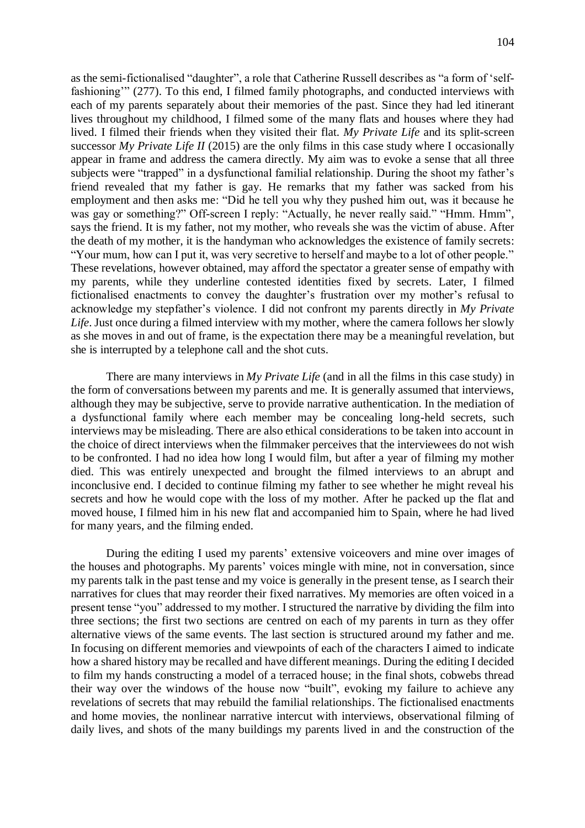as the semi-fictionalised "daughter", a role that Catherine Russell describes as "a form of 'selffashioning'" (277). To this end, I filmed family photographs, and conducted interviews with each of my parents separately about their memories of the past. Since they had led itinerant lives throughout my childhood, I filmed some of the many flats and houses where they had lived. I filmed their friends when they visited their flat. *My Private Life* and its split-screen successor *My Private Life II* (2015) are the only films in this case study where I occasionally appear in frame and address the camera directly. My aim was to evoke a sense that all three subjects were "trapped" in a dysfunctional familial relationship. During the shoot my father's friend revealed that my father is gay. He remarks that my father was sacked from his employment and then asks me: "Did he tell you why they pushed him out, was it because he was gay or something?" Off-screen I reply: "Actually, he never really said." "Hmm. Hmm", says the friend. It is my father, not my mother, who reveals she was the victim of abuse. After the death of my mother, it is the handyman who acknowledges the existence of family secrets: "Your mum, how can I put it, was very secretive to herself and maybe to a lot of other people." These revelations, however obtained, may afford the spectator a greater sense of empathy with my parents, while they underline contested identities fixed by secrets. Later, I filmed fictionalised enactments to convey the daughter's frustration over my mother's refusal to acknowledge my stepfather's violence. I did not confront my parents directly in *My Private Life*. Just once during a filmed interview with my mother, where the camera follows her slowly as she moves in and out of frame, is the expectation there may be a meaningful revelation, but she is interrupted by a telephone call and the shot cuts.

There are many interviews in *My Private Life* (and in all the films in this case study) in the form of conversations between my parents and me. It is generally assumed that interviews, although they may be subjective, serve to provide narrative authentication. In the mediation of a dysfunctional family where each member may be concealing long-held secrets, such interviews may be misleading. There are also ethical considerations to be taken into account in the choice of direct interviews when the filmmaker perceives that the interviewees do not wish to be confronted. I had no idea how long I would film, but after a year of filming my mother died. This was entirely unexpected and brought the filmed interviews to an abrupt and inconclusive end. I decided to continue filming my father to see whether he might reveal his secrets and how he would cope with the loss of my mother. After he packed up the flat and moved house, I filmed him in his new flat and accompanied him to Spain, where he had lived for many years, and the filming ended.

During the editing I used my parents' extensive voiceovers and mine over images of the houses and photographs. My parents' voices mingle with mine, not in conversation, since my parents talk in the past tense and my voice is generally in the present tense, as I search their narratives for clues that may reorder their fixed narratives. My memories are often voiced in a present tense "you" addressed to my mother. I structured the narrative by dividing the film into three sections; the first two sections are centred on each of my parents in turn as they offer alternative views of the same events. The last section is structured around my father and me. In focusing on different memories and viewpoints of each of the characters I aimed to indicate how a shared history may be recalled and have different meanings. During the editing I decided to film my hands constructing a model of a terraced house; in the final shots, cobwebs thread their way over the windows of the house now "built", evoking my failure to achieve any revelations of secrets that may rebuild the familial relationships. The fictionalised enactments and home movies, the nonlinear narrative intercut with interviews, observational filming of daily lives, and shots of the many buildings my parents lived in and the construction of the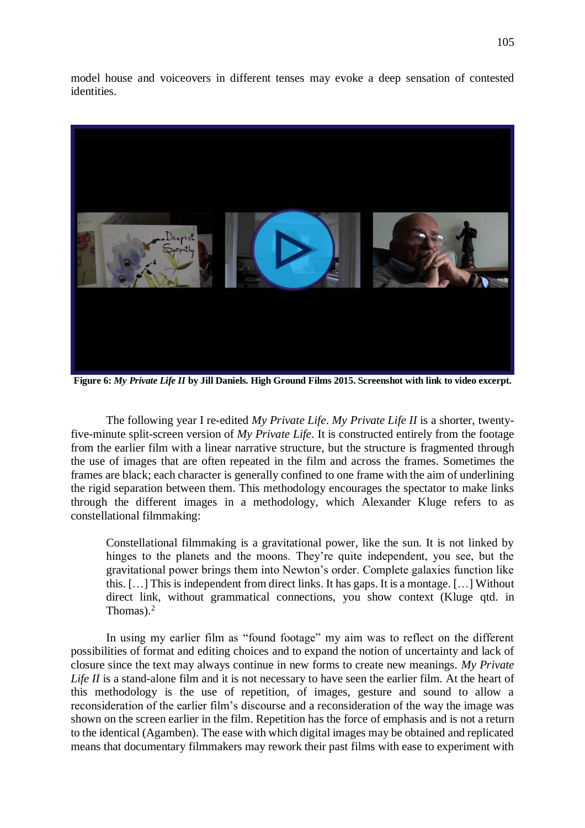model house and voiceovers in different tenses may evoke a deep sensation of contested identities.



**Figure 6:** *My Private Life II* **by Jill Daniels***.* **High Ground Films 2015. Screenshot with link to video excerpt.**

The following year I re-edited *My Private Life*. *My Private Life II* is a shorter, twentyfive-minute split-screen version of *My Private Life*. It is constructed entirely from the footage from the earlier film with a linear narrative structure, but the structure is fragmented through the use of images that are often repeated in the film and across the frames. Sometimes the frames are black; each character is generally confined to one frame with the aim of underlining the rigid separation between them. This methodology encourages the spectator to make links through the different images in a methodology, which Alexander Kluge refers to as constellational filmmaking:

Constellational filmmaking is a gravitational power, like the sun. It is not linked by hinges to the planets and the moons. They're quite independent, you see, but the gravitational power brings them into Newton's order. Complete galaxies function like this. […] This is independent from direct links. It has gaps. It is a montage. […] Without direct link, without grammatical connections, you show context (Kluge qtd. in Thomas). $2$ 

In using my earlier film as "found footage" my aim was to reflect on the different possibilities of format and editing choices and to expand the notion of uncertainty and lack of closure since the text may always continue in new forms to create new meanings. *My Private Life II* is a stand-alone film and it is not necessary to have seen the earlier film. At the heart of this methodology is the use of repetition, of images, gesture and sound to allow a reconsideration of the earlier film's discourse and a reconsideration of the way the image was shown on the screen earlier in the film. Repetition has the force of emphasis and is not a return to the identical (Agamben). The ease with which digital images may be obtained and replicated means that documentary filmmakers may rework their past films with ease to experiment with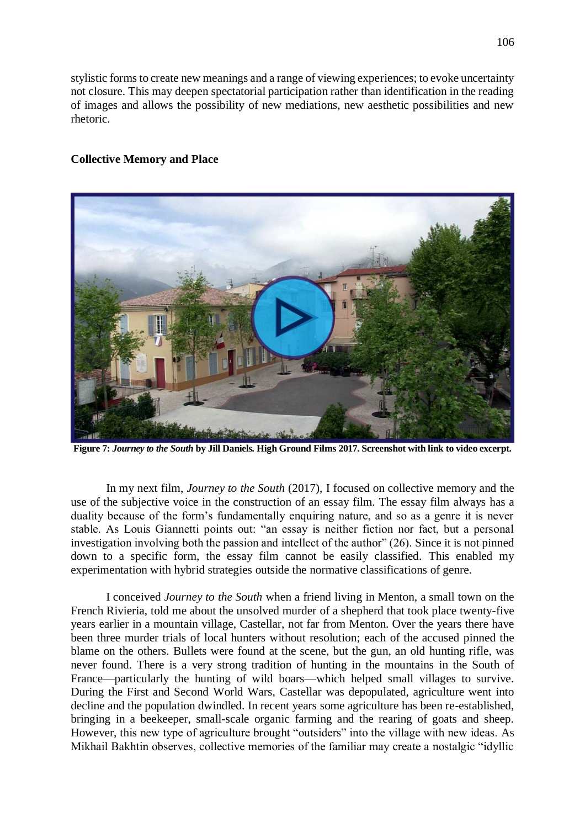stylistic forms to create new meanings and a range of viewing experiences; to evoke uncertainty not closure. This may deepen spectatorial participation rather than identification in the reading of images and allows the possibility of new mediations, new aesthetic possibilities and new rhetoric.

#### **Collective Memory and Place**



**Figure 7:** *Journey to the South* **by Jill Daniels***.* **High Ground Films 2017. Screenshot with link to video excerpt.**

In my next film, *Journey to the South* (2017), I focused on collective memory and the use of the subjective voice in the construction of an essay film. The essay film always has a duality because of the form's fundamentally enquiring nature, and so as a genre it is never stable. As Louis Giannetti points out: "an essay is neither fiction nor fact, but a personal investigation involving both the passion and intellect of the author" (26). Since it is not pinned down to a specific form, the essay film cannot be easily classified. This enabled my experimentation with hybrid strategies outside the normative classifications of genre.

I conceived *Journey to the South* when a friend living in Menton, a small town on the French Rivieria, told me about the unsolved murder of a shepherd that took place twenty-five years earlier in a mountain village, Castellar, not far from Menton. Over the years there have been three murder trials of local hunters without resolution; each of the accused pinned the blame on the others. Bullets were found at the scene, but the gun, an old hunting rifle, was never found. There is a very strong tradition of hunting in the mountains in the South of France—particularly the hunting of wild boars—which helped small villages to survive. During the First and Second World Wars, Castellar was depopulated, agriculture went into decline and the population dwindled. In recent years some agriculture has been re-established, bringing in a beekeeper, small-scale organic farming and the rearing of goats and sheep. However, this new type of agriculture brought "outsiders" into the village with new ideas. As Mikhail Bakhtin observes, collective memories of the familiar may create a nostalgic "idyllic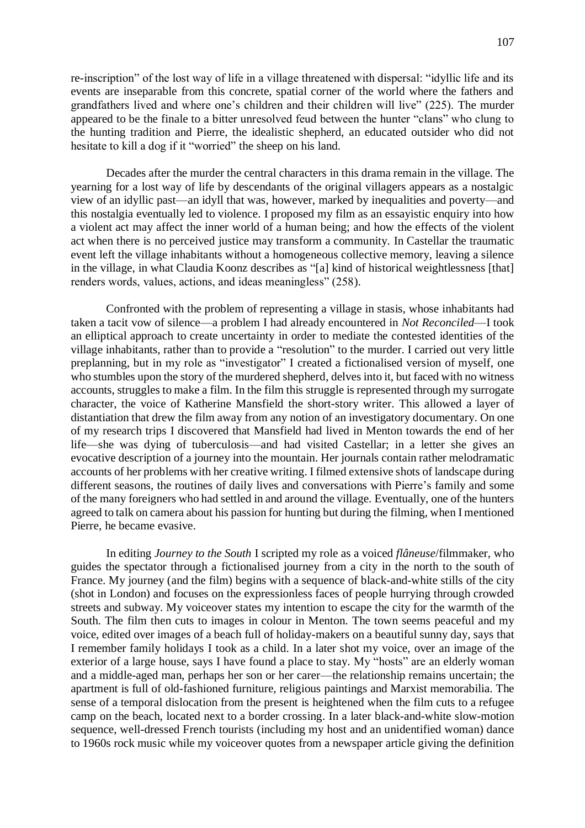re-inscription" of the lost way of life in a village threatened with dispersal: "idyllic life and its events are inseparable from this concrete, spatial corner of the world where the fathers and grandfathers lived and where one's children and their children will live" (225). The murder appeared to be the finale to a bitter unresolved feud between the hunter "clans" who clung to the hunting tradition and Pierre, the idealistic shepherd, an educated outsider who did not hesitate to kill a dog if it "worried" the sheep on his land.

Decades after the murder the central characters in this drama remain in the village. The yearning for a lost way of life by descendants of the original villagers appears as a nostalgic view of an idyllic past—an idyll that was, however, marked by inequalities and poverty—and this nostalgia eventually led to violence. I proposed my film as an essayistic enquiry into how a violent act may affect the inner world of a human being; and how the effects of the violent act when there is no perceived justice may transform a community. In Castellar the traumatic event left the village inhabitants without a homogeneous collective memory, leaving a silence in the village, in what Claudia Koonz describes as "[a] kind of historical weightlessness [that] renders words, values, actions, and ideas meaningless" (258).

Confronted with the problem of representing a village in stasis, whose inhabitants had taken a tacit vow of silence—a problem I had already encountered in *Not Reconciled*—I took an elliptical approach to create uncertainty in order to mediate the contested identities of the village inhabitants, rather than to provide a "resolution" to the murder. I carried out very little preplanning, but in my role as "investigator" I created a fictionalised version of myself, one who stumbles upon the story of the murdered shepherd, delves into it, but faced with no witness accounts, struggles to make a film. In the film this struggle is represented through my surrogate character, the voice of Katherine Mansfield the short-story writer. This allowed a layer of distantiation that drew the film away from any notion of an investigatory documentary. On one of my research trips I discovered that Mansfield had lived in Menton towards the end of her life—she was dying of tuberculosis—and had visited Castellar; in a letter she gives an evocative description of a journey into the mountain. Her journals contain rather melodramatic accounts of her problems with her creative writing. I filmed extensive shots of landscape during different seasons, the routines of daily lives and conversations with Pierre's family and some of the many foreigners who had settled in and around the village. Eventually, one of the hunters agreed to talk on camera about his passion for hunting but during the filming, when I mentioned Pierre, he became evasive.

In editing *Journey to the South* I scripted my role as a voiced *flâneuse*/filmmaker, who guides the spectator through a fictionalised journey from a city in the north to the south of France. My journey (and the film) begins with a sequence of black-and-white stills of the city (shot in London) and focuses on the expressionless faces of people hurrying through crowded streets and subway. My voiceover states my intention to escape the city for the warmth of the South. The film then cuts to images in colour in Menton. The town seems peaceful and my voice, edited over images of a beach full of holiday-makers on a beautiful sunny day, says that I remember family holidays I took as a child. In a later shot my voice, over an image of the exterior of a large house, says I have found a place to stay. My "hosts" are an elderly woman and a middle-aged man, perhaps her son or her carer—the relationship remains uncertain; the apartment is full of old-fashioned furniture, religious paintings and Marxist memorabilia. The sense of a temporal dislocation from the present is heightened when the film cuts to a refugee camp on the beach, located next to a border crossing. In a later black-and-white slow-motion sequence, well-dressed French tourists (including my host and an unidentified woman) dance to 1960s rock music while my voiceover quotes from a newspaper article giving the definition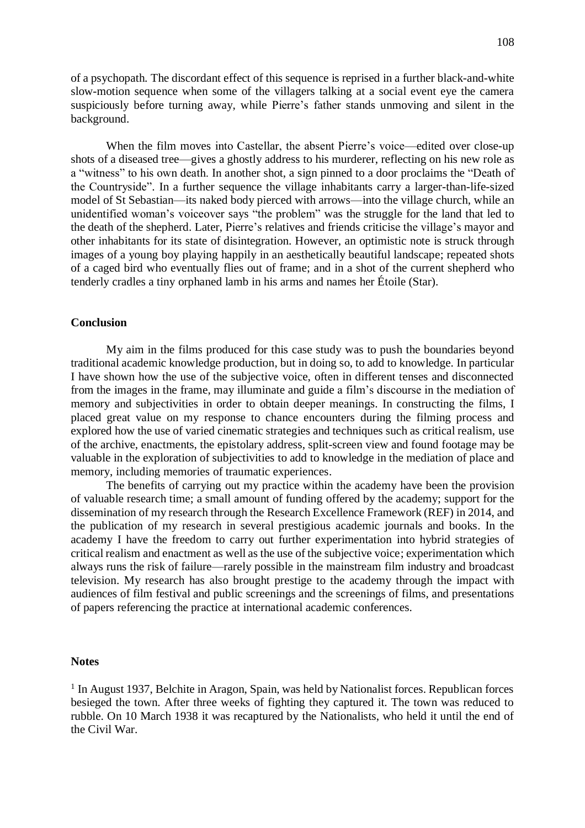of a psychopath. The discordant effect of this sequence is reprised in a further black-and-white slow-motion sequence when some of the villagers talking at a social event eye the camera suspiciously before turning away, while Pierre's father stands unmoving and silent in the background.

When the film moves into Castellar, the absent Pierre's voice—edited over close-up shots of a diseased tree—gives a ghostly address to his murderer, reflecting on his new role as a "witness" to his own death. In another shot, a sign pinned to a door proclaims the "Death of the Countryside". In a further sequence the village inhabitants carry a larger-than-life-sized model of St Sebastian—its naked body pierced with arrows—into the village church, while an unidentified woman's voiceover says "the problem" was the struggle for the land that led to the death of the shepherd. Later, Pierre's relatives and friends criticise the village's mayor and other inhabitants for its state of disintegration. However, an optimistic note is struck through images of a young boy playing happily in an aesthetically beautiful landscape; repeated shots of a caged bird who eventually flies out of frame; and in a shot of the current shepherd who tenderly cradles a tiny orphaned lamb in his arms and names her Étoile (Star).

#### **Conclusion**

My aim in the films produced for this case study was to push the boundaries beyond traditional academic knowledge production, but in doing so, to add to knowledge. In particular I have shown how the use of the subjective voice, often in different tenses and disconnected from the images in the frame, may illuminate and guide a film's discourse in the mediation of memory and subjectivities in order to obtain deeper meanings. In constructing the films, I placed great value on my response to chance encounters during the filming process and explored how the use of varied cinematic strategies and techniques such as critical realism, use of the archive, enactments, the epistolary address, split-screen view and found footage may be valuable in the exploration of subjectivities to add to knowledge in the mediation of place and memory, including memories of traumatic experiences.

The benefits of carrying out my practice within the academy have been the provision of valuable research time; a small amount of funding offered by the academy; support for the dissemination of my research through the Research Excellence Framework (REF) in 2014, and the publication of my research in several prestigious academic journals and books. In the academy I have the freedom to carry out further experimentation into hybrid strategies of critical realism and enactment as well as the use of the subjective voice; experimentation which always runs the risk of failure—rarely possible in the mainstream film industry and broadcast television. My research has also brought prestige to the academy through the impact with audiences of film festival and public screenings and the screenings of films, and presentations of papers referencing the practice at international academic conferences.

#### **Notes**

<sup>1</sup> In August 1937, Belchite in Aragon, Spain, was held by Nationalist forces. Republican forces besieged the town. After three weeks of fighting they captured it. The town was reduced to rubble. On 10 March 1938 it was recaptured by the Nationalists, who held it until the end of the Civil War.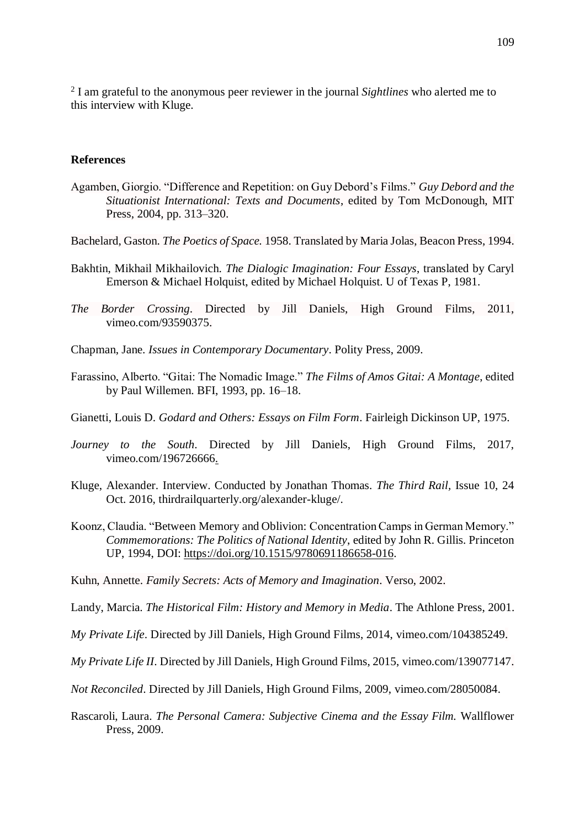2 I am grateful to the anonymous peer reviewer in the journal *Sightlines* who alerted me to this interview with Kluge.

#### **References**

- Agamben, Giorgio. "Difference and Repetition: on Guy Debord's Films." *Guy Debord and the Situationist International: Texts and Documents*, edited by Tom McDonough, MIT Press, 2004, pp. 313–320.
- Bachelard, Gaston. *The Poetics of Space.* 1958. Translated by Maria Jolas, Beacon Press, 1994.
- Bakhtin, Mikhail Mikhailovich. *The Dialogic Imagination: Four Essays*, translated by Caryl Emerson & Michael Holquist, edited by Michael Holquist. U of Texas P, 1981.
- *The Border Crossing*. Directed by Jill Daniels, High Ground Films, 2011, vimeo.com/93590375.
- Chapman, Jane. *Issues in Contemporary Documentary*. Polity Press, 2009.
- Farassino, Alberto. "Gitai: The Nomadic Image." *The Films of Amos Gitai: A Montage*, edited by Paul Willemen. BFI, 1993, pp. 16–18.
- Gianetti, Louis D. *Godard and Others: Essays on Film Form*. Fairleigh Dickinson UP, 1975.
- *Journey to the South*. Directed by Jill Daniels, High Ground Films, 2017, vimeo.com/196726666.
- Kluge, Alexander. Interview. Conducted by Jonathan Thomas. *The Third Rail,* Issue 10, 24 Oct. 2016, thirdrailquarterly.org/alexander-kluge/.
- Koonz, Claudia. "Between Memory and Oblivion: Concentration Camps in German Memory." *Commemorations: The Politics of National Identity*, edited by John R. Gillis. Princeton UP, 1994, DOI: [https://doi.org/10.1515/9780691186658-016.](https://doi.org/10.1515/9780691186658-016)
- Kuhn, Annette. *Family Secrets: Acts of Memory and Imagination*. Verso, 2002.
- Landy, Marcia. *The Historical Film: History and Memory in Media*. The Athlone Press, 2001.
- *My Private Life*. Directed by Jill Daniels, High Ground Films, 2014, vimeo.com/104385249.
- *My Private Life II*. Directed by Jill Daniels, High Ground Films, 2015, vimeo.com/139077147.
- *Not Reconciled*. Directed by Jill Daniels, High Ground Films, 2009, vimeo.com/28050084.
- Rascaroli, Laura. *The Personal Camera: Subjective Cinema and the Essay Film.* Wallflower Press, 2009.